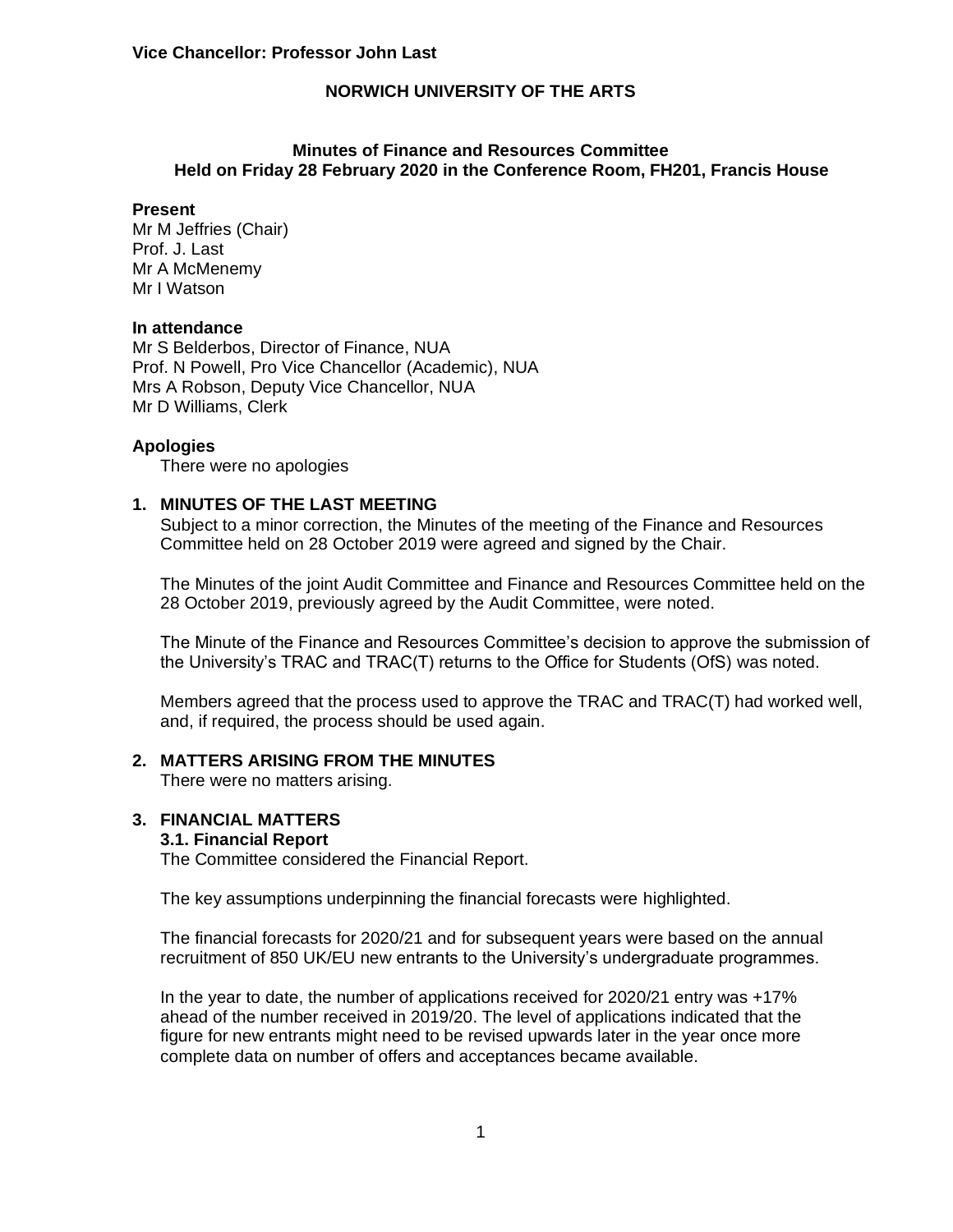### **Minutes of Finance and Resources Committee Held on Friday 28 February 2020 in the Conference Room, FH201, Francis House**

#### **Present**

Mr M Jeffries (Chair) Prof. J. Last Mr A McMenemy Mr I Watson

#### **In attendance**

Mr S Belderbos, Director of Finance, NUA Prof. N Powell, Pro Vice Chancellor (Academic), NUA Mrs A Robson, Deputy Vice Chancellor, NUA Mr D Williams, Clerk

#### **Apologies**

There were no apologies

# **1. MINUTES OF THE LAST MEETING**

Subject to a minor correction, the Minutes of the meeting of the Finance and Resources Committee held on 28 October 2019 were agreed and signed by the Chair.

The Minutes of the joint Audit Committee and Finance and Resources Committee held on the 28 October 2019, previously agreed by the Audit Committee, were noted.

The Minute of the Finance and Resources Committee's decision to approve the submission of the University's TRAC and TRAC(T) returns to the Office for Students (OfS) was noted.

Members agreed that the process used to approve the TRAC and TRAC(T) had worked well, and, if required, the process should be used again.

#### **2. MATTERS ARISING FROM THE MINUTES**

There were no matters arising.

#### **3. FINANCIAL MATTERS**

#### **3.1. Financial Report**

The Committee considered the Financial Report.

The key assumptions underpinning the financial forecasts were highlighted.

The financial forecasts for 2020/21 and for subsequent years were based on the annual recruitment of 850 UK/EU new entrants to the University's undergraduate programmes.

In the year to date, the number of applications received for 2020/21 entry was +17% ahead of the number received in 2019/20. The level of applications indicated that the figure for new entrants might need to be revised upwards later in the year once more complete data on number of offers and acceptances became available.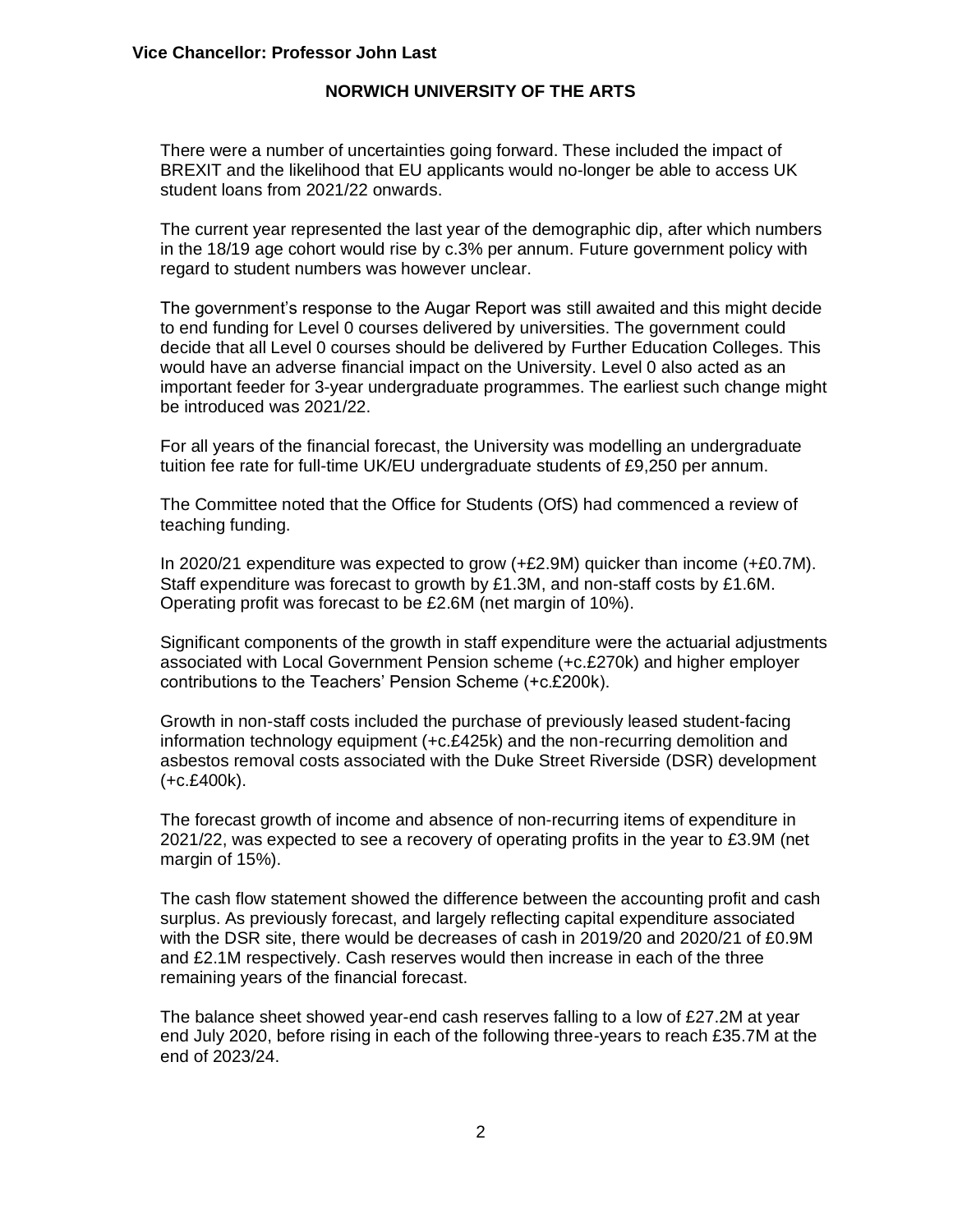There were a number of uncertainties going forward. These included the impact of BREXIT and the likelihood that EU applicants would no-longer be able to access UK student loans from 2021/22 onwards.

The current year represented the last year of the demographic dip, after which numbers in the 18/19 age cohort would rise by c.3% per annum. Future government policy with regard to student numbers was however unclear.

The government's response to the Augar Report was still awaited and this might decide to end funding for Level 0 courses delivered by universities. The government could decide that all Level 0 courses should be delivered by Further Education Colleges. This would have an adverse financial impact on the University. Level 0 also acted as an important feeder for 3-year undergraduate programmes. The earliest such change might be introduced was 2021/22.

For all years of the financial forecast, the University was modelling an undergraduate tuition fee rate for full-time UK/EU undergraduate students of £9,250 per annum.

The Committee noted that the Office for Students (OfS) had commenced a review of teaching funding.

In 2020/21 expenditure was expected to grow (+£2.9M) quicker than income (+£0.7M). Staff expenditure was forecast to growth by £1.3M, and non-staff costs by £1.6M. Operating profit was forecast to be £2.6M (net margin of 10%).

Significant components of the growth in staff expenditure were the actuarial adjustments associated with Local Government Pension scheme (+c.£270k) and higher employer contributions to the Teachers' Pension Scheme (+c.£200k).

Growth in non-staff costs included the purchase of previously leased student-facing information technology equipment (+c.£425k) and the non-recurring demolition and asbestos removal costs associated with the Duke Street Riverside (DSR) development (+c.£400k).

The forecast growth of income and absence of non-recurring items of expenditure in 2021/22, was expected to see a recovery of operating profits in the year to £3.9M (net margin of 15%).

The cash flow statement showed the difference between the accounting profit and cash surplus. As previously forecast, and largely reflecting capital expenditure associated with the DSR site, there would be decreases of cash in 2019/20 and 2020/21 of £0.9M and £2.1M respectively. Cash reserves would then increase in each of the three remaining years of the financial forecast.

The balance sheet showed year-end cash reserves falling to a low of £27.2M at year end July 2020, before rising in each of the following three-years to reach £35.7M at the end of 2023/24.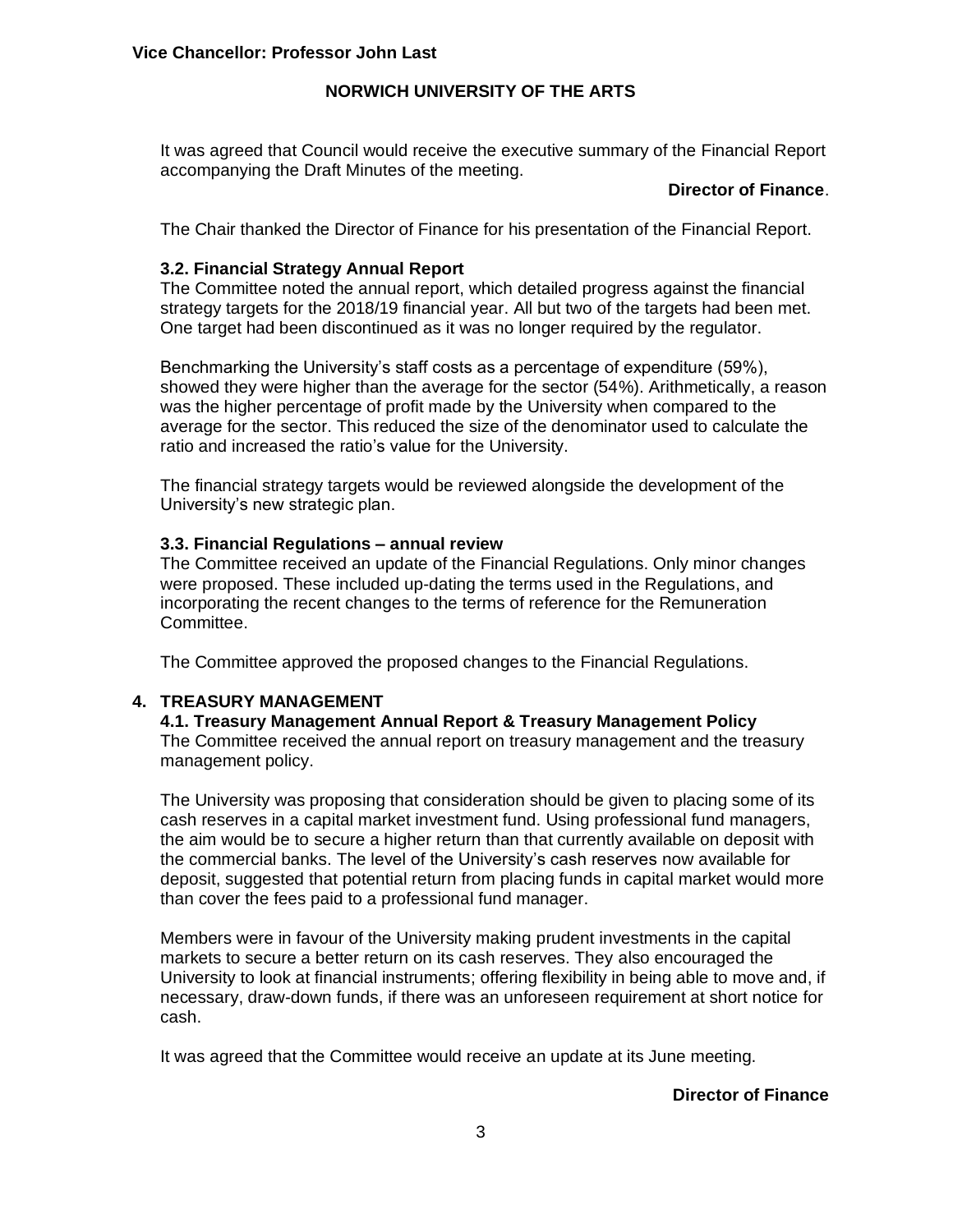It was agreed that Council would receive the executive summary of the Financial Report accompanying the Draft Minutes of the meeting.

### **Director of Finance**.

The Chair thanked the Director of Finance for his presentation of the Financial Report.

# **3.2. Financial Strategy Annual Report**

The Committee noted the annual report, which detailed progress against the financial strategy targets for the 2018/19 financial year. All but two of the targets had been met. One target had been discontinued as it was no longer required by the regulator.

Benchmarking the University's staff costs as a percentage of expenditure (59%), showed they were higher than the average for the sector (54%). Arithmetically, a reason was the higher percentage of profit made by the University when compared to the average for the sector. This reduced the size of the denominator used to calculate the ratio and increased the ratio's value for the University.

The financial strategy targets would be reviewed alongside the development of the University's new strategic plan.

# **3.3. Financial Regulations – annual review**

The Committee received an update of the Financial Regulations. Only minor changes were proposed. These included up-dating the terms used in the Regulations, and incorporating the recent changes to the terms of reference for the Remuneration Committee.

The Committee approved the proposed changes to the Financial Regulations.

# **4. TREASURY MANAGEMENT**

### **4.1. Treasury Management Annual Report & Treasury Management Policy**

The Committee received the annual report on treasury management and the treasury management policy.

The University was proposing that consideration should be given to placing some of its cash reserves in a capital market investment fund. Using professional fund managers, the aim would be to secure a higher return than that currently available on deposit with the commercial banks. The level of the University's cash reserves now available for deposit, suggested that potential return from placing funds in capital market would more than cover the fees paid to a professional fund manager.

Members were in favour of the University making prudent investments in the capital markets to secure a better return on its cash reserves. They also encouraged the University to look at financial instruments; offering flexibility in being able to move and, if necessary, draw-down funds, if there was an unforeseen requirement at short notice for cash.

It was agreed that the Committee would receive an update at its June meeting.

# **Director of Finance**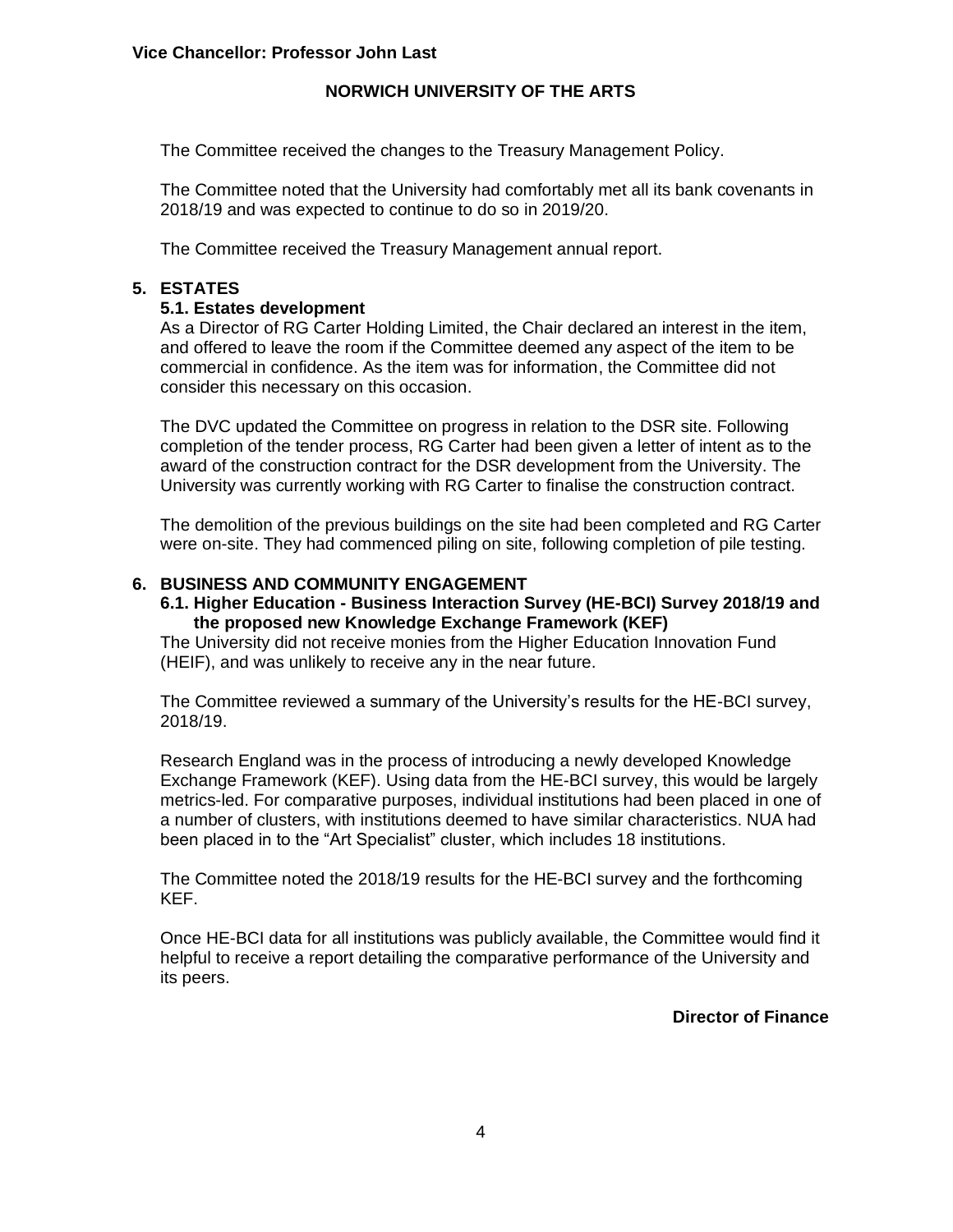The Committee received the changes to the Treasury Management Policy.

The Committee noted that the University had comfortably met all its bank covenants in 2018/19 and was expected to continue to do so in 2019/20.

The Committee received the Treasury Management annual report.

# **5. ESTATES**

# **5.1. Estates development**

As a Director of RG Carter Holding Limited, the Chair declared an interest in the item, and offered to leave the room if the Committee deemed any aspect of the item to be commercial in confidence. As the item was for information, the Committee did not consider this necessary on this occasion.

The DVC updated the Committee on progress in relation to the DSR site. Following completion of the tender process, RG Carter had been given a letter of intent as to the award of the construction contract for the DSR development from the University. The University was currently working with RG Carter to finalise the construction contract.

The demolition of the previous buildings on the site had been completed and RG Carter were on-site. They had commenced piling on site, following completion of pile testing.

# **6. BUSINESS AND COMMUNITY ENGAGEMENT**

#### **6.1. Higher Education - Business Interaction Survey (HE-BCI) Survey 2018/19 and the proposed new Knowledge Exchange Framework (KEF)**

The University did not receive monies from the Higher Education Innovation Fund (HEIF), and was unlikely to receive any in the near future.

The Committee reviewed a summary of the University's results for the HE-BCI survey, 2018/19.

Research England was in the process of introducing a newly developed Knowledge Exchange Framework (KEF). Using data from the HE-BCI survey, this would be largely metrics-led. For comparative purposes, individual institutions had been placed in one of a number of clusters, with institutions deemed to have similar characteristics. NUA had been placed in to the "Art Specialist" cluster, which includes 18 institutions.

The Committee noted the 2018/19 results for the HE-BCI survey and the forthcoming KEF.

Once HE-BCI data for all institutions was publicly available, the Committee would find it helpful to receive a report detailing the comparative performance of the University and its peers.

**Director of Finance**